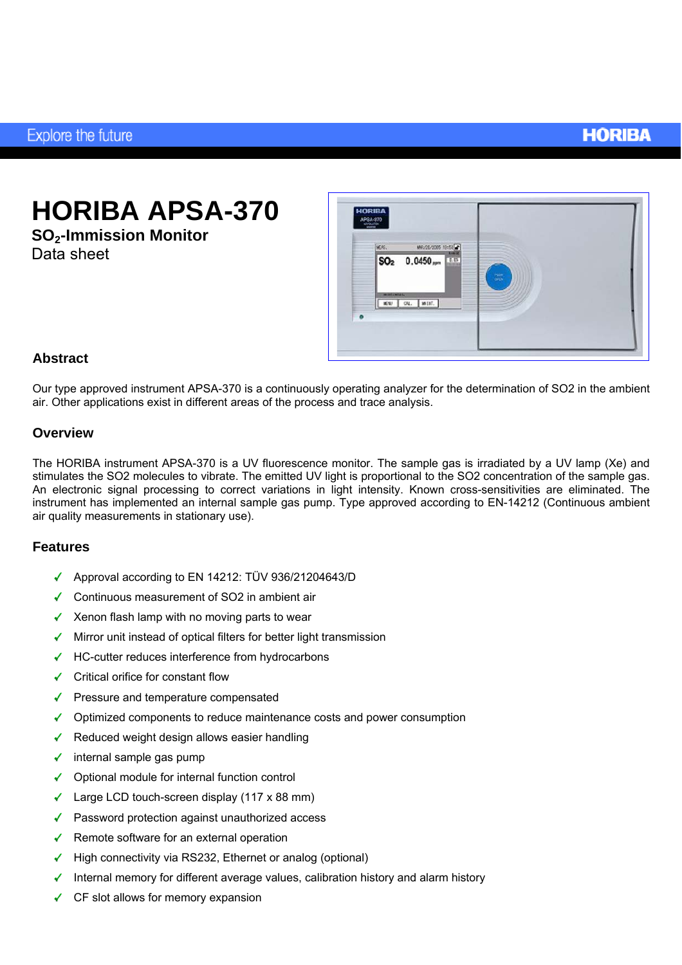### **HORIBA**

# **HORIBA APSA-370**

**SO2-Immission Monitor**  Data sheet



#### **Abstract**

Our type approved instrument APSA-370 is a continuously operating analyzer for the determination of SO2 in the ambient air. Other applications exist in different areas of the process and trace analysis.

#### **Overview**

The HORIBA instrument APSA-370 is a UV fluorescence monitor. The sample gas is irradiated by a UV lamp (Xe) and stimulates the SO2 molecules to vibrate. The emitted UV light is proportional to the SO2 concentration of the sample gas. An electronic signal processing to correct variations in light intensity. Known cross-sensitivities are eliminated. The instrument has implemented an internal sample gas pump. Type approved according to EN-14212 (Continuous ambient air quality measurements in stationary use).

#### **Features**

- Approval according to EN 14212: TÜV 936/21204643/D
- Continuous measurement of SO2 in ambient air
- $\checkmark$  Xenon flash lamp with no moving parts to wear
- $\sqrt{\phantom{a}}$  Mirror unit instead of optical filters for better light transmission
- $\checkmark$  HC-cutter reduces interference from hydrocarbons
- **✓** Critical orifice for constant flow
- $\blacktriangleright$  Pressure and temperature compensated
- $\checkmark$  Optimized components to reduce maintenance costs and power consumption
- $\checkmark$  Reduced weight design allows easier handling
- $\checkmark$  internal sample gas pump
- Optional module for internal function control
- $\checkmark$  Large LCD touch-screen display (117 x 88 mm)
- ◆ Password protection against unauthorized access
- Remote software for an external operation
- $\blacktriangleright$  High connectivity via RS232, Ethernet or analog (optional)
- Internal memory for different average values, calibration history and alarm history
- $\checkmark$  CF slot allows for memory expansion